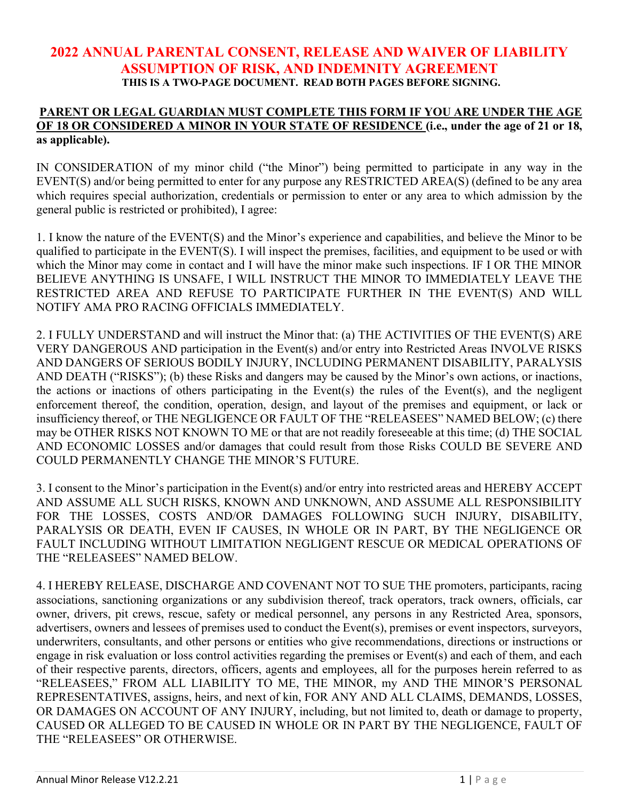## **2022 ANNUAL PARENTAL CONSENT, RELEASE AND WAIVER OF LIABILITY ASSUMPTION OF RISK, AND INDEMNITY AGREEMENT THIS IS A TWO-PAGE DOCUMENT. READ BOTH PAGES BEFORE SIGNING.**

## **PARENT OR LEGAL GUARDIAN MUST COMPLETE THIS FORM IF YOU ARE UNDER THE AGE OF 18 OR CONSIDERED A MINOR IN YOUR STATE OF RESIDENCE (i.e., under the age of 21 or 18, as applicable).**

IN CONSIDERATION of my minor child ("the Minor") being permitted to participate in any way in the EVENT(S) and/or being permitted to enter for any purpose any RESTRICTED AREA(S) (defined to be any area which requires special authorization, credentials or permission to enter or any area to which admission by the general public is restricted or prohibited), I agree:

1. I know the nature of the EVENT(S) and the Minor's experience and capabilities, and believe the Minor to be qualified to participate in the EVENT(S). I will inspect the premises, facilities, and equipment to be used or with which the Minor may come in contact and I will have the minor make such inspections. IF I OR THE MINOR BELIEVE ANYTHING IS UNSAFE, I WILL INSTRUCT THE MINOR TO IMMEDIATELY LEAVE THE RESTRICTED AREA AND REFUSE TO PARTICIPATE FURTHER IN THE EVENT(S) AND WILL NOTIFY AMA PRO RACING OFFICIALS IMMEDIATELY.

2. I FULLY UNDERSTAND and will instruct the Minor that: (a) THE ACTIVITIES OF THE EVENT(S) ARE VERY DANGEROUS AND participation in the Event(s) and/or entry into Restricted Areas INVOLVE RISKS AND DANGERS OF SERIOUS BODILY INJURY, INCLUDING PERMANENT DISABILITY, PARALYSIS AND DEATH ("RISKS"); (b) these Risks and dangers may be caused by the Minor's own actions, or inactions, the actions or inactions of others participating in the Event(s) the rules of the Event(s), and the negligent enforcement thereof, the condition, operation, design, and layout of the premises and equipment, or lack or insufficiency thereof, or THE NEGLIGENCE OR FAULT OF THE "RELEASEES" NAMED BELOW; (c) there may be OTHER RISKS NOT KNOWN TO ME or that are not readily foreseeable at this time; (d) THE SOCIAL AND ECONOMIC LOSSES and/or damages that could result from those Risks COULD BE SEVERE AND COULD PERMANENTLY CHANGE THE MINOR'S FUTURE.

3. I consent to the Minor's participation in the Event(s) and/or entry into restricted areas and HEREBY ACCEPT AND ASSUME ALL SUCH RISKS, KNOWN AND UNKNOWN, AND ASSUME ALL RESPONSIBILITY FOR THE LOSSES, COSTS AND/OR DAMAGES FOLLOWING SUCH INJURY, DISABILITY, PARALYSIS OR DEATH, EVEN IF CAUSES, IN WHOLE OR IN PART, BY THE NEGLIGENCE OR FAULT INCLUDING WITHOUT LIMITATION NEGLIGENT RESCUE OR MEDICAL OPERATIONS OF THE "RELEASEES" NAMED BELOW.

4. I HEREBY RELEASE, DISCHARGE AND COVENANT NOT TO SUE THE promoters, participants, racing associations, sanctioning organizations or any subdivision thereof, track operators, track owners, officials, car owner, drivers, pit crews, rescue, safety or medical personnel, any persons in any Restricted Area, sponsors, advertisers, owners and lessees of premises used to conduct the Event(s), premises or event inspectors, surveyors, underwriters, consultants, and other persons or entities who give recommendations, directions or instructions or engage in risk evaluation or loss control activities regarding the premises or Event(s) and each of them, and each of their respective parents, directors, officers, agents and employees, all for the purposes herein referred to as "RELEASEES," FROM ALL LIABILITY TO ME, THE MINOR, my AND THE MINOR'S PERSONAL REPRESENTATIVES, assigns, heirs, and next of kin, FOR ANY AND ALL CLAIMS, DEMANDS, LOSSES, OR DAMAGES ON ACCOUNT OF ANY INJURY, including, but not limited to, death or damage to property, CAUSED OR ALLEGED TO BE CAUSED IN WHOLE OR IN PART BY THE NEGLIGENCE, FAULT OF THE "RELEASEES" OR OTHERWISE.